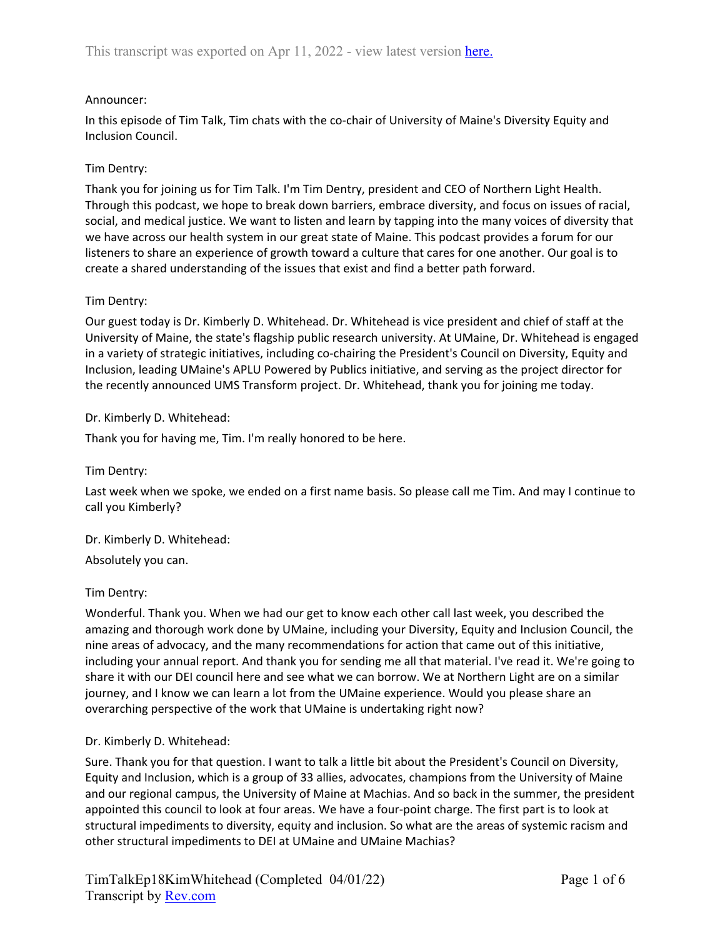## Announcer:

In this episode of Tim Talk, Tim chats with the co-chair of University of Maine's Diversity Equity and Inclusion Council.

### Tim Dentry:

Thank you for joining us for Tim Talk. I'm Tim Dentry, president and CEO of Northern Light Health. Through this podcast, we hope to break down barriers, embrace diversity, and focus on issues of racial, social, and medical justice. We want to listen and learn by tapping into the many voices of diversity that we have across our health system in our great state of Maine. This podcast provides a forum for our listeners to share an experience of growth toward a culture that cares for one another. Our goal is to create a shared understanding of the issues that exist and find a better path forward.

### Tim Dentry:

Our guest today is Dr. Kimberly D. Whitehead. Dr. Whitehead is vice president and chief of staff at the University of Maine, the state's flagship public research university. At UMaine, Dr. Whitehead is engaged in a variety of strategic initiatives, including co-chairing the President's Council on Diversity, Equity and Inclusion, leading UMaine's APLU Powered by Publics initiative, and serving as the project director for the recently announced UMS Transform project. Dr. Whitehead, thank you for joining me today.

### Dr. Kimberly D. Whitehead:

Thank you for having me, Tim. I'm really honored to be here.

Tim Dentry:

Last week when we spoke, we ended on a first name basis. So please call me Tim. And may I continue to call you Kimberly?

Dr. Kimberly D. Whitehead: Absolutely you can.

## Tim Dentry:

Wonderful. Thank you. When we had our get to know each other call last week, you described the amazing and thorough work done by UMaine, including your Diversity, Equity and Inclusion Council, the nine areas of advocacy, and the many recommendations for action that came out of this initiative, including your annual report. And thank you for sending me all that material. I've read it. We're going to share it with our DEI council here and see what we can borrow. We at Northern Light are on a similar journey, and I know we can learn a lot from the UMaine experience. Would you please share an overarching perspective of the work that UMaine is undertaking right now?

#### Dr. Kimberly D. Whitehead:

Sure. Thank you for that question. I want to talk a little bit about the President's Council on Diversity, Equity and Inclusion, which is a group of 33 allies, advocates, champions from the University of Maine and our regional campus, the University of Maine at Machias. And so back in the summer, the president appointed this council to look at four areas. We have a four-point charge. The first part is to look at structural impediments to diversity, equity and inclusion. So what are the areas of systemic racism and other structural impediments to DEI at UMaine and UMaine Machias?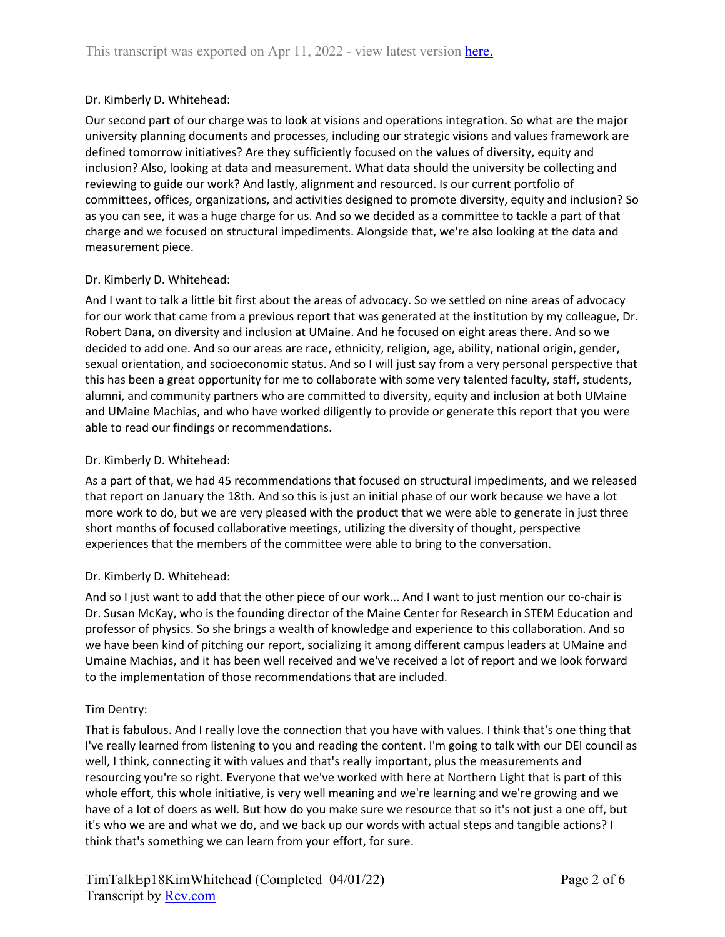### Dr. Kimberly D. Whitehead:

Our second part of our charge was to look at visions and operations integration. So what are the major university planning documents and processes, including our strategic visions and values framework are defined tomorrow initiatives? Are they sufficiently focused on the values of diversity, equity and inclusion? Also, looking at data and measurement. What data should the university be collecting and reviewing to guide our work? And lastly, alignment and resourced. Is our current portfolio of committees, offices, organizations, and activities designed to promote diversity, equity and inclusion? So as you can see, it was a huge charge for us. And so we decided as a committee to tackle a part of that charge and we focused on structural impediments. Alongside that, we're also looking at the data and measurement piece.

### Dr. Kimberly D. Whitehead:

And I want to talk a little bit first about the areas of advocacy. So we settled on nine areas of advocacy for our work that came from a previous report that was generated at the institution by my colleague, Dr. Robert Dana, on diversity and inclusion at UMaine. And he focused on eight areas there. And so we decided to add one. And so our areas are race, ethnicity, religion, age, ability, national origin, gender, sexual orientation, and socioeconomic status. And so I will just say from a very personal perspective that this has been a great opportunity for me to collaborate with some very talented faculty, staff, students, alumni, and community partners who are committed to diversity, equity and inclusion at both UMaine and UMaine Machias, and who have worked diligently to provide or generate this report that you were able to read our findings or recommendations.

#### Dr. Kimberly D. Whitehead:

As a part of that, we had 45 recommendations that focused on structural impediments, and we released that report on January the 18th. And so this is just an initial phase of our work because we have a lot more work to do, but we are very pleased with the product that we were able to generate in just three short months of focused collaborative meetings, utilizing the diversity of thought, perspective experiences that the members of the committee were able to bring to the conversation.

#### Dr. Kimberly D. Whitehead:

And so I just want to add that the other piece of our work... And I want to just mention our co-chair is Dr. Susan McKay, who is the founding director of the Maine Center for Research in STEM Education and professor of physics. So she brings a wealth of knowledge and experience to this collaboration. And so we have been kind of pitching our report, socializing it among different campus leaders at UMaine and Umaine Machias, and it has been well received and we've received a lot of report and we look forward to the implementation of those recommendations that are included.

#### Tim Dentry:

That is fabulous. And I really love the connection that you have with values. I think that's one thing that I've really learned from listening to you and reading the content. I'm going to talk with our DEI council as well, I think, connecting it with values and that's really important, plus the measurements and resourcing you're so right. Everyone that we've worked with here at Northern Light that is part of this whole effort, this whole initiative, is very well meaning and we're learning and we're growing and we have of a lot of doers as well. But how do you make sure we resource that so it's not just a one off, but it's who we are and what we do, and we back up our words with actual steps and tangible actions? I think that's something we can learn from your effort, for sure.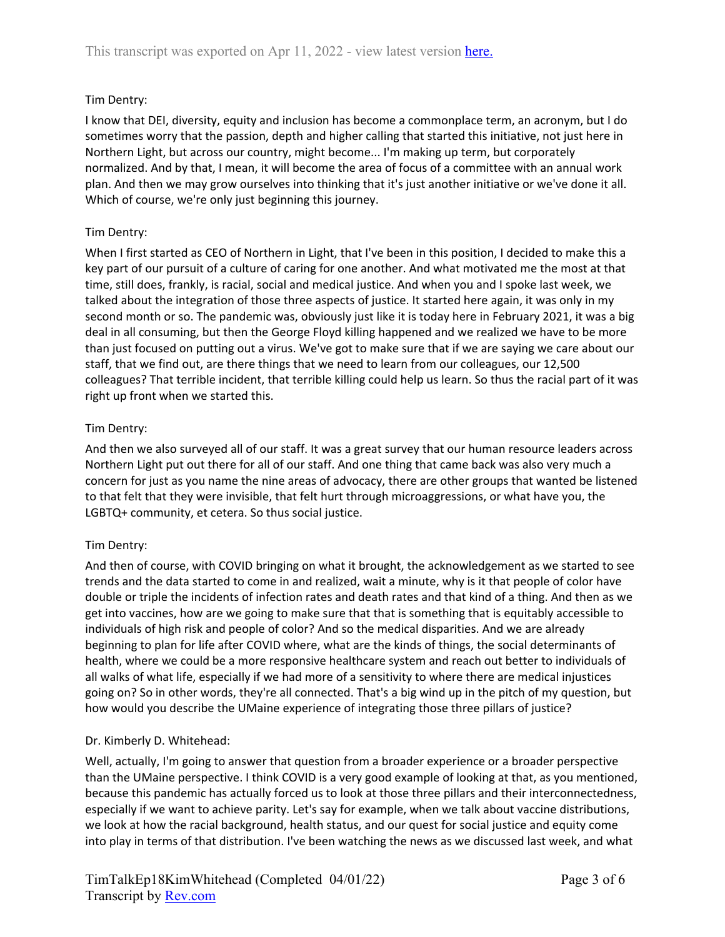# Tim Dentry:

I know that DEI, diversity, equity and inclusion has become a commonplace term, an acronym, but I do sometimes worry that the passion, depth and higher calling that started this initiative, not just here in Northern Light, but across our country, might become... I'm making up term, but corporately normalized. And by that, I mean, it will become the area of focus of a committee with an annual work plan. And then we may grow ourselves into thinking that it's just another initiative or we've done it all. Which of course, we're only just beginning this journey.

# Tim Dentry:

When I first started as CEO of Northern in Light, that I've been in this position, I decided to make this a key part of our pursuit of a culture of caring for one another. And what motivated me the most at that time, still does, frankly, is racial, social and medical justice. And when you and I spoke last week, we talked about the integration of those three aspects of justice. It started here again, it was only in my second month or so. The pandemic was, obviously just like it is today here in February 2021, it was a big deal in all consuming, but then the George Floyd killing happened and we realized we have to be more than just focused on putting out a virus. We've got to make sure that if we are saying we care about our staff, that we find out, are there things that we need to learn from our colleagues, our 12,500 colleagues? That terrible incident, that terrible killing could help us learn. So thus the racial part of it was right up front when we started this.

## Tim Dentry:

And then we also surveyed all of our staff. It was a great survey that our human resource leaders across Northern Light put out there for all of our staff. And one thing that came back was also very much a concern for just as you name the nine areas of advocacy, there are other groups that wanted be listened to that felt that they were invisible, that felt hurt through microaggressions, or what have you, the LGBTQ+ community, et cetera. So thus social justice.

## Tim Dentry:

And then of course, with COVID bringing on what it brought, the acknowledgement as we started to see trends and the data started to come in and realized, wait a minute, why is it that people of color have double or triple the incidents of infection rates and death rates and that kind of a thing. And then as we get into vaccines, how are we going to make sure that that is something that is equitably accessible to individuals of high risk and people of color? And so the medical disparities. And we are already beginning to plan for life after COVID where, what are the kinds of things, the social determinants of health, where we could be a more responsive healthcare system and reach out better to individuals of all walks of what life, especially if we had more of a sensitivity to where there are medical injustices going on? So in other words, they're all connected. That's a big wind up in the pitch of my question, but how would you describe the UMaine experience of integrating those three pillars of justice?

## Dr. Kimberly D. Whitehead:

Well, actually, I'm going to answer that question from a broader experience or a broader perspective than the UMaine perspective. I think COVID is a very good example of looking at that, as you mentioned, because this pandemic has actually forced us to look at those three pillars and their interconnectedness, especially if we want to achieve parity. Let's say for example, when we talk about vaccine distributions, we look at how the racial background, health status, and our quest for social justice and equity come into play in terms of that distribution. I've been watching the news as we discussed last week, and what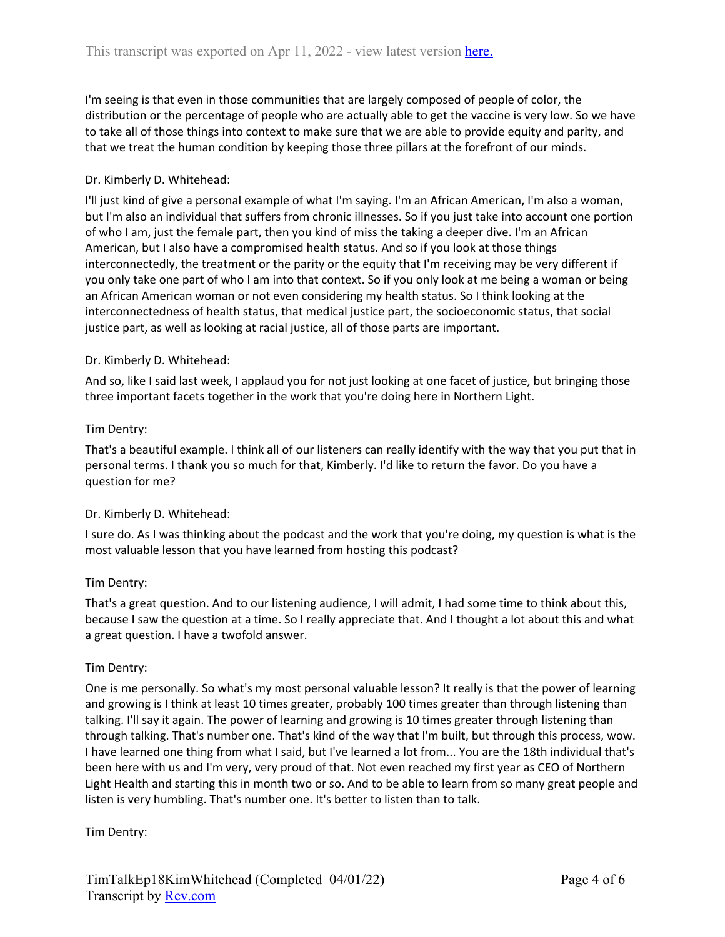I'm seeing is that even in those communities that are largely composed of people of color, the distribution or the percentage of people who are actually able to get the vaccine is very low. So we have to take all of those things into context to make sure that we are able to provide equity and parity, and that we treat the human condition by keeping those three pillars at the forefront of our minds.

## Dr. Kimberly D. Whitehead:

I'll just kind of give a personal example of what I'm saying. I'm an African American, I'm also a woman, but I'm also an individual that suffers from chronic illnesses. So if you just take into account one portion of who I am, just the female part, then you kind of miss the taking a deeper dive. I'm an African American, but I also have a compromised health status. And so if you look at those things interconnectedly, the treatment or the parity or the equity that I'm receiving may be very different if you only take one part of who I am into that context. So if you only look at me being a woman or being an African American woman or not even considering my health status. So I think looking at the interconnectedness of health status, that medical justice part, the socioeconomic status, that social justice part, as well as looking at racial justice, all of those parts are important.

## Dr. Kimberly D. Whitehead:

And so, like I said last week, I applaud you for not just looking at one facet of justice, but bringing those three important facets together in the work that you're doing here in Northern Light.

### Tim Dentry:

That's a beautiful example. I think all of our listeners can really identify with the way that you put that in personal terms. I thank you so much for that, Kimberly. I'd like to return the favor. Do you have a question for me?

## Dr. Kimberly D. Whitehead:

I sure do. As I was thinking about the podcast and the work that you're doing, my question is what is the most valuable lesson that you have learned from hosting this podcast?

## Tim Dentry:

That's a great question. And to our listening audience, I will admit, I had some time to think about this, because I saw the question at a time. So I really appreciate that. And I thought a lot about this and what a great question. I have a twofold answer.

#### Tim Dentry:

One is me personally. So what's my most personal valuable lesson? It really is that the power of learning and growing is I think at least 10 times greater, probably 100 times greater than through listening than talking. I'll say it again. The power of learning and growing is 10 times greater through listening than through talking. That's number one. That's kind of the way that I'm built, but through this process, wow. I have learned one thing from what I said, but I've learned a lot from... You are the 18th individual that's been here with us and I'm very, very proud of that. Not even reached my first year as CEO of Northern Light Health and starting this in month two or so. And to be able to learn from so many great people and listen is very humbling. That's number one. It's better to listen than to talk.

#### Tim Dentry: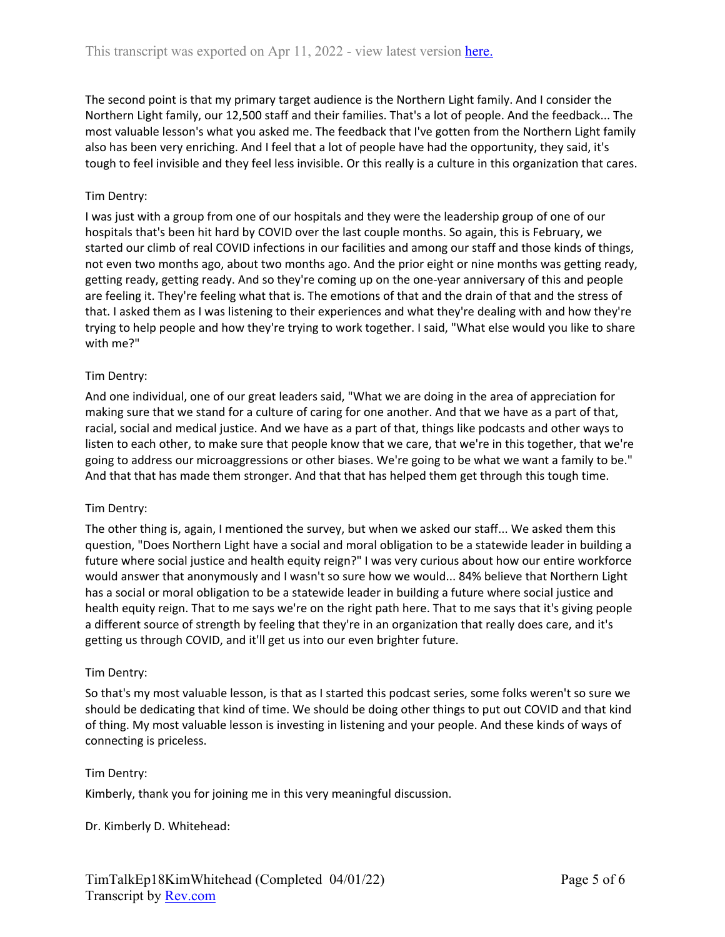The second point is that my primary target audience is the Northern Light family. And I consider the Northern Light family, our 12,500 staff and their families. That's a lot of people. And the feedback... The most valuable lesson's what you asked me. The feedback that I've gotten from the Northern Light family also has been very enriching. And I feel that a lot of people have had the opportunity, they said, it's tough to feel invisible and they feel less invisible. Or this really is a culture in this organization that cares.

## Tim Dentry:

I was just with a group from one of our hospitals and they were the leadership group of one of our hospitals that's been hit hard by COVID over the last couple months. So again, this is February, we started our climb of real COVID infections in our facilities and among our staff and those kinds of things, not even two months ago, about two months ago. And the prior eight or nine months was getting ready, getting ready, getting ready. And so they're coming up on the one-year anniversary of this and people are feeling it. They're feeling what that is. The emotions of that and the drain of that and the stress of that. I asked them as I was listening to their experiences and what they're dealing with and how they're trying to help people and how they're trying to work together. I said, "What else would you like to share with me?"

### Tim Dentry:

And one individual, one of our great leaders said, "What we are doing in the area of appreciation for making sure that we stand for a culture of caring for one another. And that we have as a part of that, racial, social and medical justice. And we have as a part of that, things like podcasts and other ways to listen to each other, to make sure that people know that we care, that we're in this together, that we're going to address our microaggressions or other biases. We're going to be what we want a family to be." And that that has made them stronger. And that that has helped them get through this tough time.

#### Tim Dentry:

The other thing is, again, I mentioned the survey, but when we asked our staff... We asked them this question, "Does Northern Light have a social and moral obligation to be a statewide leader in building a future where social justice and health equity reign?" I was very curious about how our entire workforce would answer that anonymously and I wasn't so sure how we would... 84% believe that Northern Light has a social or moral obligation to be a statewide leader in building a future where social justice and health equity reign. That to me says we're on the right path here. That to me says that it's giving people a different source of strength by feeling that they're in an organization that really does care, and it's getting us through COVID, and it'll get us into our even brighter future.

#### Tim Dentry:

So that's my most valuable lesson, is that as I started this podcast series, some folks weren't so sure we should be dedicating that kind of time. We should be doing other things to put out COVID and that kind of thing. My most valuable lesson is investing in listening and your people. And these kinds of ways of connecting is priceless.

#### Tim Dentry:

Kimberly, thank you for joining me in this very meaningful discussion.

Dr. Kimberly D. Whitehead: